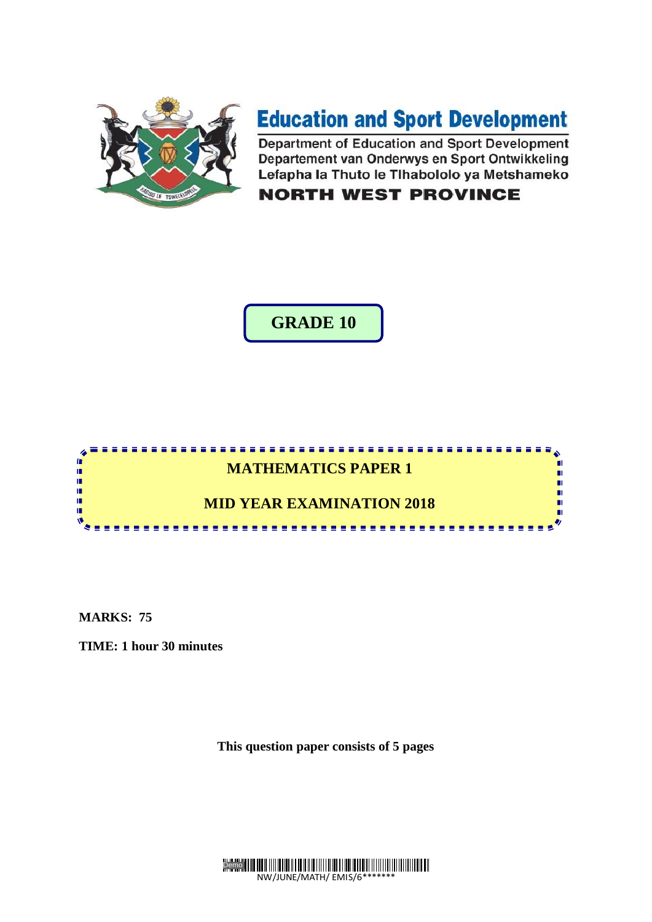

# **Education and Sport Development**

Department of Education and Sport Development Departement van Onderwys en Sport Ontwikkeling Lefapha la Thuto le Tlhabololo ya Metshameko

**NORTH WEST PROVINCE** 

**GRADE 10**



**MARKS: 75**

**TIME: 1 hour 30 minutes**

**This question paper consists of 5 pages** 

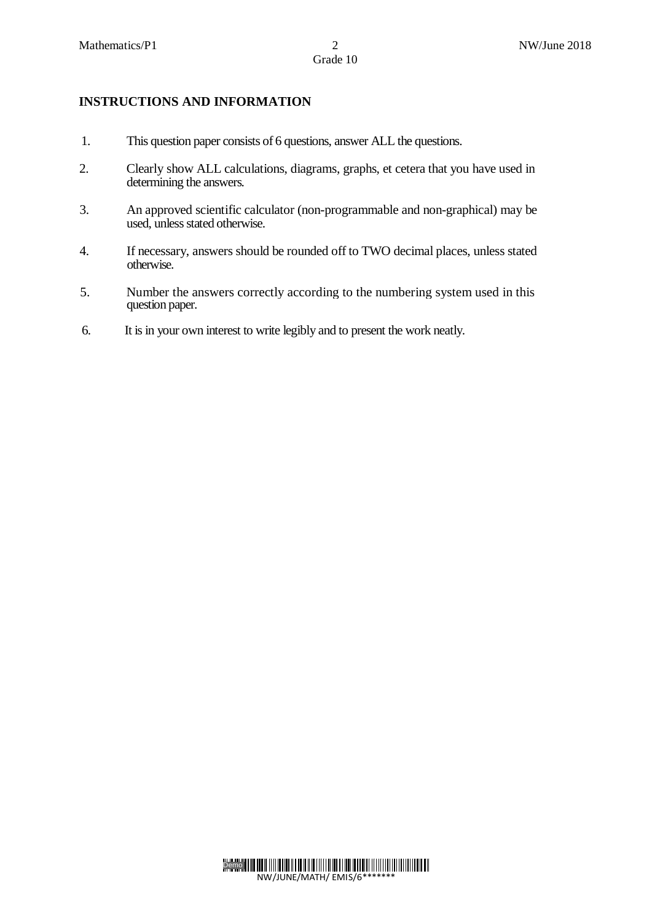#### **INSTRUCTIONS AND INFORMATION**

- 1. This question paper consists of 6 questions, answer ALL the questions.
- 2. Clearly show ALL calculations, diagrams, graphs, et cetera that you have used in determining the answers.
- 3. An approved scientific calculator (non-programmable and non-graphical) may be used, unless stated otherwise.
- 4. If necessary, answers should be rounded off to TWO decimal places, unless stated otherwise.
- 5. Number the answers correctly according to the numbering system used in this question paper.
- 6. It is in your own interest to write legibly and to present the work neatly.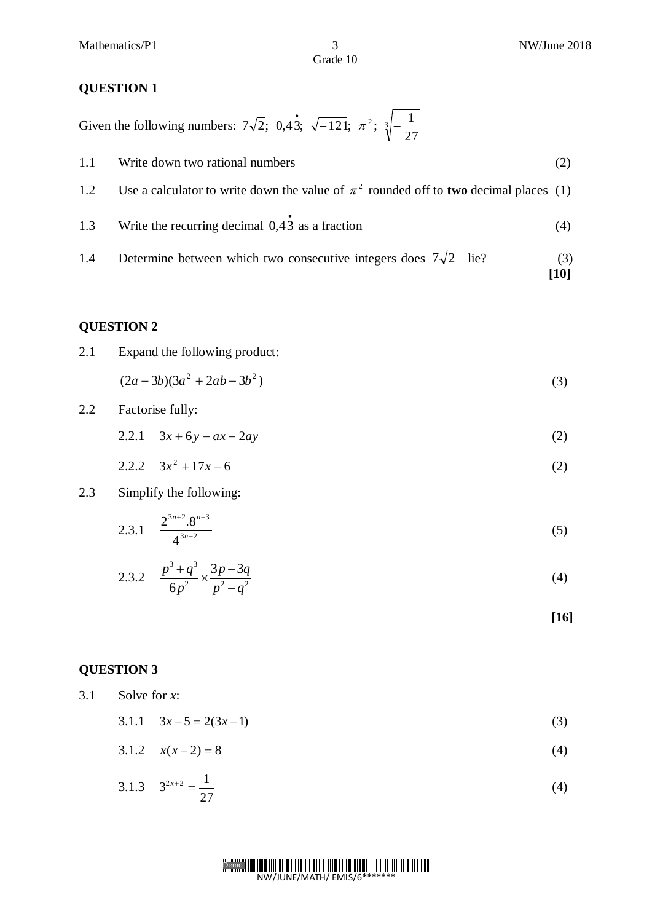#### **QUESTION 1**

Given the following numbers:  $7\sqrt{2}$ ; 0,43;  $\sqrt{-121}$ ;  $\pi^2$ ; 3 27  $7\sqrt{2}$ ; 0,43;  $\sqrt{-121}$ ;  $\pi^2$ ;  $3\left[-\frac{1}{21}\right]$ π

- 1.1 Write down two rational numbers (2) 1.2 Use a calculator to write down the value of  $\pi^2$  rounded off to **two** decimal places (1) 1.3 Write the recurring decimal  $0,4\overline{3}$  as a fraction (4)
- 1.4 Determine between which two consecutive integers does  $7\sqrt{2}$  lie? (3) **[10]**

#### **QUESTION 2**

2.1 Expand the following product:

$$
(2a-3b)(3a2 + 2ab - 3b2)
$$
 (3)

- 2.2 Factorise fully:
	- $2.2.1 \quad 3x + 6y ax 2ay$ (2)

$$
2.2.2 \t 3x^2 + 17x - 6 \t (2)
$$

2.3 Simplify the following:

2.3.1 
$$
\frac{2^{3n+2} \cdot 8^{n-3}}{4^{3n-2}}
$$
 (5)

2.3.2 
$$
\frac{p^3 + q^3}{6p^2} \times \frac{3p - 3q}{p^2 - q^2}
$$
 (4)

$$
[16]
$$

#### **QUESTION 3**

- 3.1 Solve for *x*:
	- 3.1.1  $3x-5 = 2(3x-1)$ (3)
	- 3.1.2  $x(x-2) = 8$ (4)

$$
3.1.3 \quad 3^{2x+2} = \frac{1}{27} \tag{4}
$$

#### Demo NW/JUNE/MATH/ EMIS/6\*\*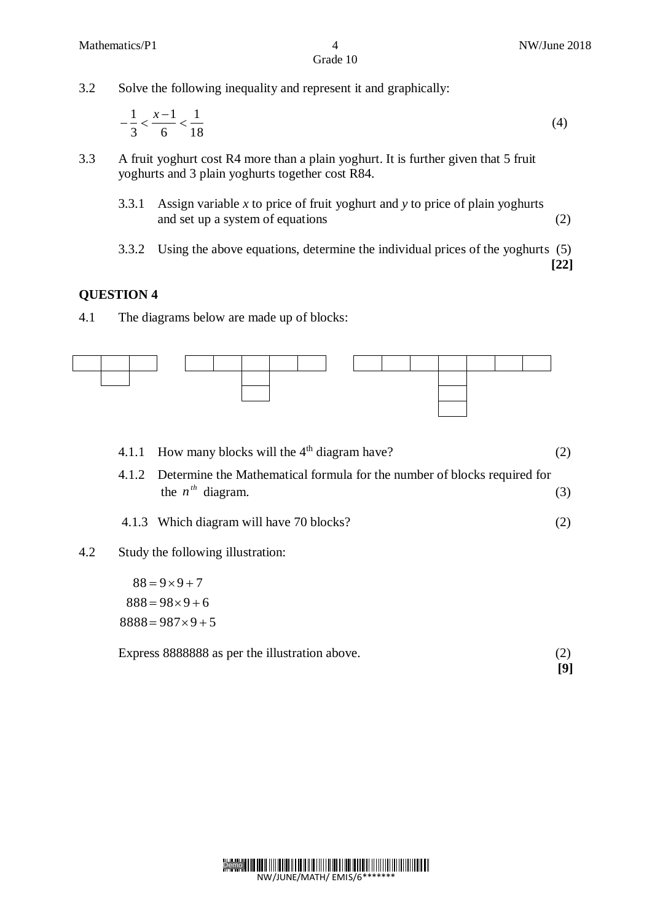**[22]**

#### Grade 10

3.2 Solve the following inequality and represent it and graphically:

$$
-\frac{1}{3} < \frac{x-1}{6} < \frac{1}{18} \tag{4}
$$

- 3.3 A fruit yoghurt cost R4 more than a plain yoghurt. It is further given that 5 fruit yoghurts and 3 plain yoghurts together cost R84.
	- 3.3.1 Assign variable *x* to price of fruit yoghurt and *y* to price of plain yoghurts and set up a system of equations (2)
	- 3.3.2 Using the above equations, determine the individual prices of the yoghurts (5)

#### **QUESTION 4**

4.1 The diagrams below are made up of blocks:



- 4.1.1 How many blocks will the  $4<sup>th</sup>$  diagram have? (2)
- 4.1.2 Determine the Mathematical formula for the number of blocks required for the  $n^{th}$  diagram. (3)
- 4.1.3 Which diagram will have 70 blocks? (2)

#### 4.2 Study the following illustration:

 $8888 = 987 \times 9 + 5$  $888 = 98 \times 9 + 6$  $88 = 9 \times 9 + 7$ 

Express 8888888 as per the illustration above. (2)

**[9]**